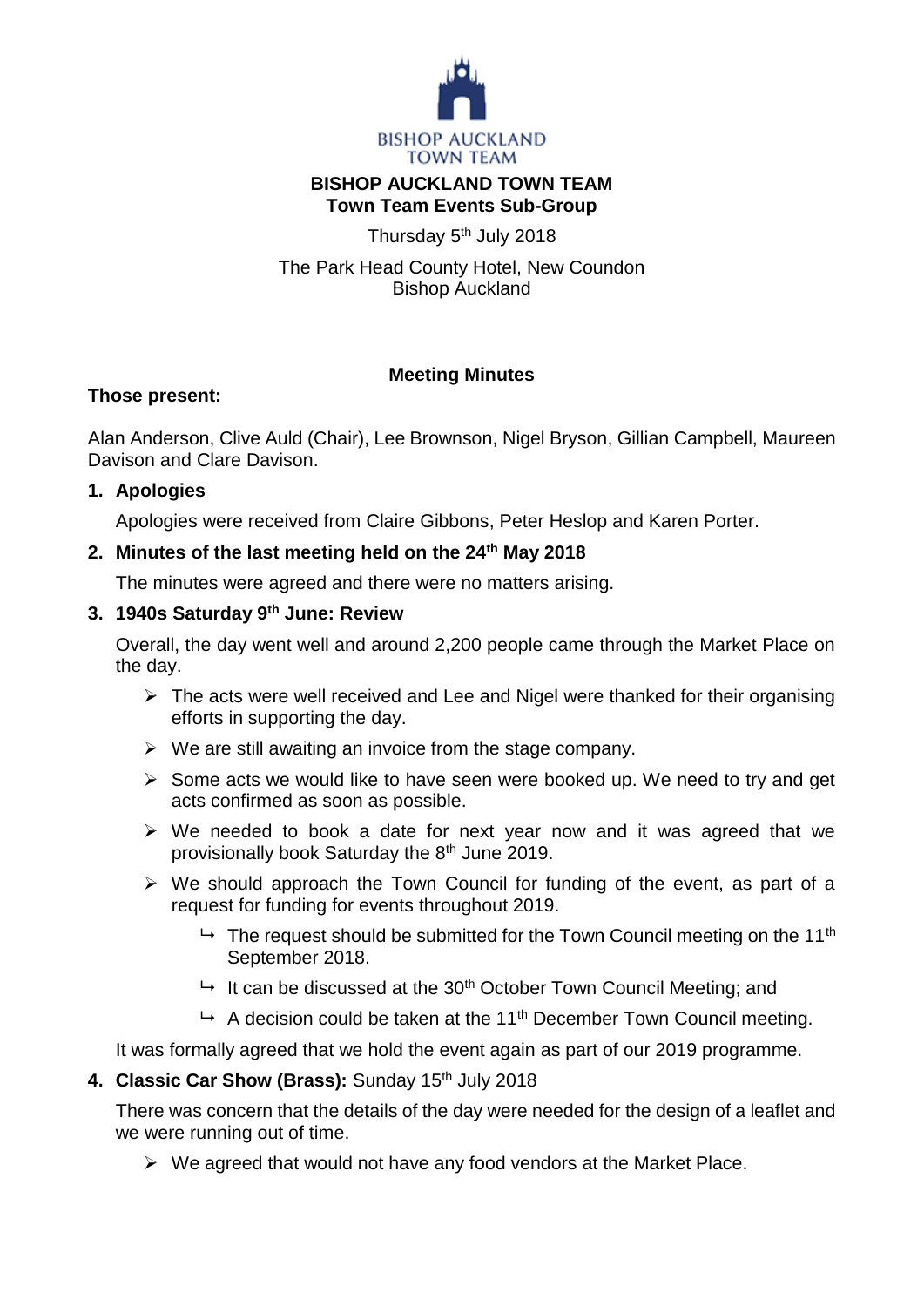

## **BISHOP AUCKLAND TOWN TEAM Town Team Events Sub-Group**

Thursday 5<sup>th</sup> July 2018

The Park Head County Hotel, New Coundon Bishop Auckland

# **Meeting Minutes**

## **Those present:**

Alan Anderson, Clive Auld (Chair), Lee Brownson, Nigel Bryson, Gillian Campbell, Maureen Davison and Clare Davison.

# **1. Apologies**

Apologies were received from Claire Gibbons, Peter Heslop and Karen Porter.

# **2. Minutes of the last meeting held on the 24th May 2018**

The minutes were agreed and there were no matters arising.

# **3. 1940s Saturday 9th June: Review**

Overall, the day went well and around 2,200 people came through the Market Place on the day.

- $\triangleright$  The acts were well received and Lee and Nigel were thanked for their organising efforts in supporting the day.
- $\triangleright$  We are still awaiting an invoice from the stage company.
- $\triangleright$  Some acts we would like to have seen were booked up. We need to try and get acts confirmed as soon as possible.
- $\triangleright$  We needed to book a date for next year now and it was agreed that we provisionally book Saturday the 8<sup>th</sup> June 2019.
- $\triangleright$  We should approach the Town Council for funding of the event, as part of a request for funding for events throughout 2019.
	- $\rightarrow$  The request should be submitted for the Town Council meeting on the 11<sup>th</sup> September 2018.
	- $\rightarrow$  It can be discussed at the 30<sup>th</sup> October Town Council Meeting; and
	- $\rightarrow$  A decision could be taken at the 11<sup>th</sup> December Town Council meeting.

It was formally agreed that we hold the event again as part of our 2019 programme.

## 4. Classic Car Show (Brass): Sunday 15<sup>th</sup> July 2018

There was concern that the details of the day were needed for the design of a leaflet and we were running out of time.

 $\triangleright$  We agreed that would not have any food vendors at the Market Place.